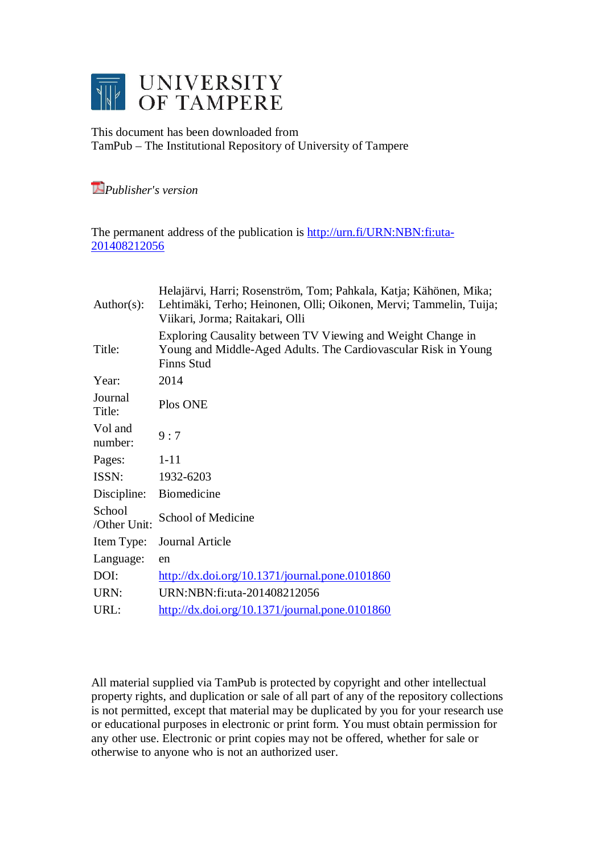

This document has been downloaded from TamPub – The Institutional Repository of University of Tampere

# *Publisher's version*

The permanent address of the publication is [http://urn.fi/URN:NBN:fi:uta-](http://urn.fi/URN:NBN:fi:uta-201408212056)[201408212056](http://urn.fi/URN:NBN:fi:uta-201408212056)

| Author(s):             | Helajärvi, Harri; Rosenström, Tom; Pahkala, Katja; Kähönen, Mika;<br>Lehtimäki, Terho; Heinonen, Olli; Oikonen, Mervi; Tammelin, Tuija;<br>Viikari, Jorma; Raitakari, Olli |
|------------------------|----------------------------------------------------------------------------------------------------------------------------------------------------------------------------|
| Title:                 | Exploring Causality between TV Viewing and Weight Change in<br>Young and Middle-Aged Adults. The Cardiovascular Risk in Young<br><b>Finns Stud</b>                         |
| Year:                  | 2014                                                                                                                                                                       |
| Journal<br>Title:      | Plos ONE                                                                                                                                                                   |
| Vol and<br>number:     | 9:7                                                                                                                                                                        |
| Pages:                 | $1 - 11$                                                                                                                                                                   |
| ISSN:                  | 1932-6203                                                                                                                                                                  |
| Discipline:            | <b>Biomedicine</b>                                                                                                                                                         |
| School<br>/Other Unit: | School of Medicine                                                                                                                                                         |
| Item Type:             | Journal Article                                                                                                                                                            |
| Language:              | en                                                                                                                                                                         |
| DOI:                   | $\frac{\text{http://dx.doi.org/10.1371/journal.pone.0101860}}{$                                                                                                            |
| URN:                   | URN:NBN:fi:uta-201408212056                                                                                                                                                |
| URL:                   | $\frac{http://dx.doi.org/10.1371/journal.pone.0101860}{http://dx.doi.org/10.1371/journal.pone.0101860}$                                                                    |

All material supplied via TamPub is protected by copyright and other intellectual property rights, and duplication or sale of all part of any of the repository collections is not permitted, except that material may be duplicated by you for your research use or educational purposes in electronic or print form. You must obtain permission for any other use. Electronic or print copies may not be offered, whether for sale or otherwise to anyone who is not an authorized user.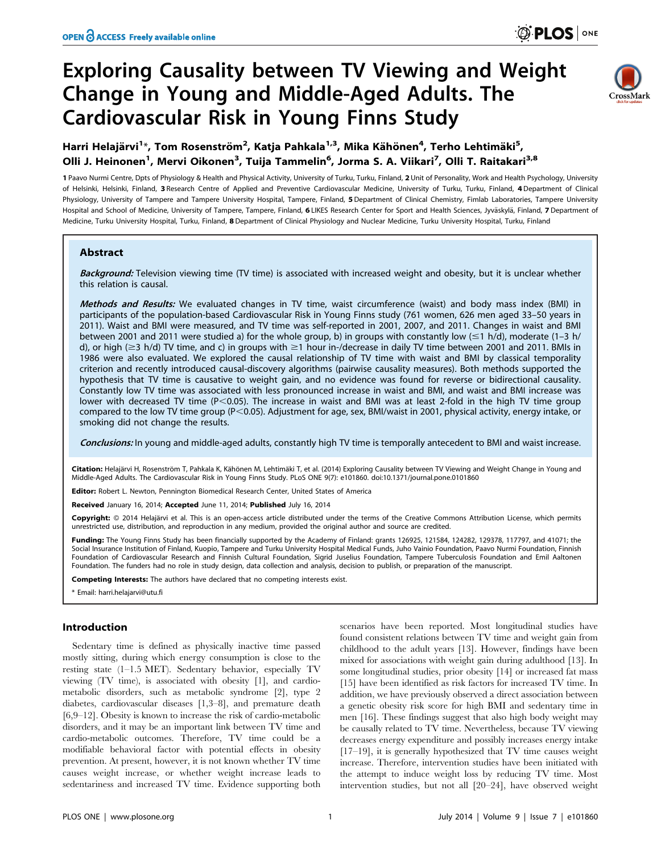# Exploring Causality between TV Viewing and Weight Change in Young and Middle-Aged Adults. The Cardiovascular Risk in Young Finns Study



Harri Helajärvi<sup>1</sup>\*, Tom Rosenström<sup>2</sup>, Katja Pahkala<sup>1,3</sup>, Mika Kähönen<sup>4</sup>, Terho Lehtimäki<sup>5</sup>, Olli J. Heinonen<sup>1</sup>, Mervi Oikonen<sup>3</sup>, Tuija Tammelin<sup>6</sup>, Jorma S. A. Viikari<sup>7</sup>, Olli T. Raitakari<sup>3,8</sup>

1 Paavo Nurmi Centre, Dpts of Physiology & Health and Physical Activity, University of Turku, Turku, Finland, 2 Unit of Personality, Work and Health Psychology, University of Helsinki, Helsinki, Finland, 3 Research Centre of Applied and Preventive Cardiovascular Medicine, University of Turku, Turku, Finland, 4 Department of Clinical Physiology, University of Tampere and Tampere University Hospital, Tampere, Finland, 5 Department of Clinical Chemistry, Fimlab Laboratories, Tampere University Hospital and School of Medicine, University of Tampere, Tampere, Finland, 6LIKES Research Center for Sport and Health Sciences, Jyväskylä, Finland, 7 Department of Medicine, Turku University Hospital, Turku, Finland, 8 Department of Clinical Physiology and Nuclear Medicine, Turku University Hospital, Turku, Finland

# Abstract

Background: Television viewing time (TV time) is associated with increased weight and obesity, but it is unclear whether this relation is causal.

Methods and Results: We evaluated changes in TV time, waist circumference (waist) and body mass index (BMI) in participants of the population-based Cardiovascular Risk in Young Finns study (761 women, 626 men aged 33–50 years in 2011). Waist and BMI were measured, and TV time was self-reported in 2001, 2007, and 2011. Changes in waist and BMI between 2001 and 2011 were studied a) for the whole group, b) in groups with constantly low  $(\leq 1 \ h/d)$ , moderate (1-3 h/ d), or high ( $\geq$ 3 h/d) TV time, and c) in groups with  $\geq$ 1 hour in-/decrease in daily TV time between 2001 and 2011. BMIs in 1986 were also evaluated. We explored the causal relationship of TV time with waist and BMI by classical temporality criterion and recently introduced causal-discovery algorithms (pairwise causality measures). Both methods supported the hypothesis that TV time is causative to weight gain, and no evidence was found for reverse or bidirectional causality. Constantly low TV time was associated with less pronounced increase in waist and BMI, and waist and BMI increase was lower with decreased TV time ( $P<0.05$ ). The increase in waist and BMI was at least 2-fold in the high TV time group compared to the low TV time group (P<0.05). Adjustment for age, sex, BMI/waist in 2001, physical activity, energy intake, or smoking did not change the results.

Conclusions: In young and middle-aged adults, constantly high TV time is temporally antecedent to BMI and waist increase.

Citation: Helajärvi H, Rosenström T, Pahkala K, Kähönen M, Lehtimäki T, et al. (2014) Exploring Causality between TV Viewing and Weight Change in Young and Middle-Aged Adults. The Cardiovascular Risk in Young Finns Study. PLoS ONE 9(7): e101860. doi:10.1371/journal.pone.0101860

Editor: Robert L. Newton, Pennington Biomedical Research Center, United States of America

Received January 16, 2014; Accepted June 11, 2014; Published July 16, 2014

Copyright: © 2014 Helajärvi et al. This is an open-access article distributed under the terms of the [Creative Commons Attribution License,](http://creativecommons.org/licenses/by/4.0/) which permits unrestricted use, distribution, and reproduction in any medium, provided the original author and source are credited.

Funding: The Young Finns Study has been financially supported by the Academy of Finland: grants 126925, 121584, 124282, 129378, 117797, and 41071; the Social Insurance Institution of Finland, Kuopio, Tampere and Turku University Hospital Medical Funds, Juho Vainio Foundation, Paavo Nurmi Foundation, Finnish Foundation of Cardiovascular Research and Finnish Cultural Foundation, Sigrid Juselius Foundation, Tampere Tuberculosis Foundation and Emil Aaltonen Foundation. The funders had no role in study design, data collection and analysis, decision to publish, or preparation of the manuscript.

Competing Interests: The authors have declared that no competing interests exist.

\* Email: harri.helajarvi@utu.fi

# Introduction

Sedentary time is defined as physically inactive time passed mostly sitting, during which energy consumption is close to the resting state (1–1.5 MET). Sedentary behavior, especially TV viewing (TV time), is associated with obesity [1], and cardiometabolic disorders, such as metabolic syndrome [2], type 2 diabetes, cardiovascular diseases [1,3–8], and premature death  $[6,9–12]$ . Obesity is known to increase the risk of cardio-metabolic disorders, and it may be an important link between TV time and cardio-metabolic outcomes. Therefore, TV time could be a modifiable behavioral factor with potential effects in obesity prevention. At present, however, it is not known whether TV time causes weight increase, or whether weight increase leads to sedentariness and increased TV time. Evidence supporting both

scenarios have been reported. Most longitudinal studies have found consistent relations between TV time and weight gain from childhood to the adult years [13]. However, findings have been mixed for associations with weight gain during adulthood [13]. In some longitudinal studies, prior obesity [14] or increased fat mass [15] have been identified as risk factors for increased TV time. In addition, we have previously observed a direct association between a genetic obesity risk score for high BMI and sedentary time in men [16]. These findings suggest that also high body weight may be causally related to TV time. Nevertheless, because TV viewing decreases energy expenditure and possibly increases energy intake [17–19], it is generally hypothesized that TV time causes weight increase. Therefore, intervention studies have been initiated with the attempt to induce weight loss by reducing TV time. Most intervention studies, but not all [20–24], have observed weight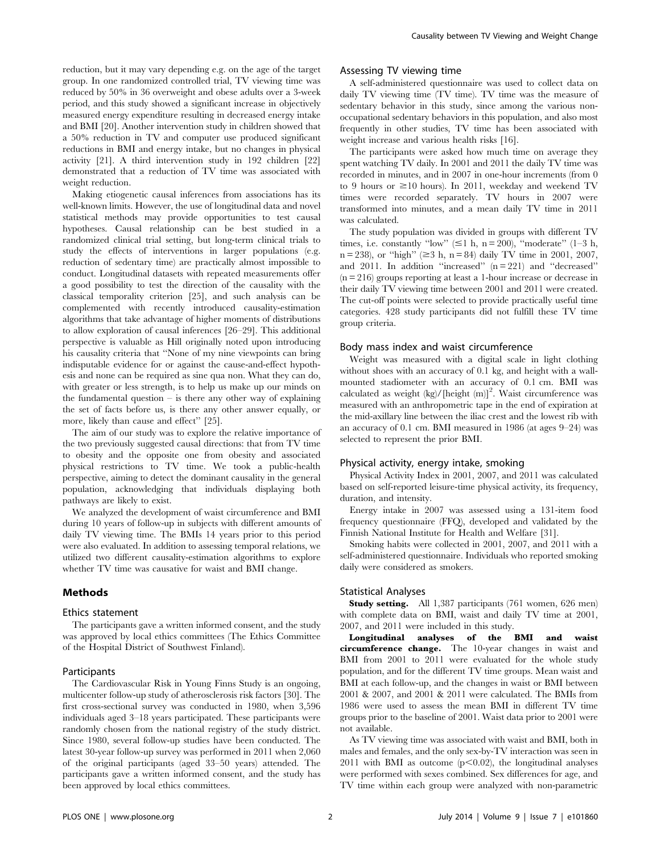reduction, but it may vary depending e.g. on the age of the target group. In one randomized controlled trial, TV viewing time was reduced by 50% in 36 overweight and obese adults over a 3-week period, and this study showed a significant increase in objectively measured energy expenditure resulting in decreased energy intake and BMI [20]. Another intervention study in children showed that a 50% reduction in TV and computer use produced significant reductions in BMI and energy intake, but no changes in physical activity [21]. A third intervention study in 192 children [22] demonstrated that a reduction of TV time was associated with weight reduction.

Making etiogenetic causal inferences from associations has its well-known limits. However, the use of longitudinal data and novel statistical methods may provide opportunities to test causal hypotheses. Causal relationship can be best studied in a randomized clinical trial setting, but long-term clinical trials to study the effects of interventions in larger populations (e.g. reduction of sedentary time) are practically almost impossible to conduct. Longitudinal datasets with repeated measurements offer a good possibility to test the direction of the causality with the classical temporality criterion [25], and such analysis can be complemented with recently introduced causality-estimation algorithms that take advantage of higher moments of distributions to allow exploration of causal inferences [26–29]. This additional perspective is valuable as Hill originally noted upon introducing his causality criteria that ''None of my nine viewpoints can bring indisputable evidence for or against the cause-and-effect hypothesis and none can be required as sine qua non. What they can do, with greater or less strength, is to help us make up our minds on the fundamental question  $-$  is there any other way of explaining the set of facts before us, is there any other answer equally, or more, likely than cause and effect'' [25].

The aim of our study was to explore the relative importance of the two previously suggested causal directions: that from TV time to obesity and the opposite one from obesity and associated physical restrictions to TV time. We took a public-health perspective, aiming to detect the dominant causality in the general population, acknowledging that individuals displaying both pathways are likely to exist.

We analyzed the development of waist circumference and BMI during 10 years of follow-up in subjects with different amounts of daily TV viewing time. The BMIs 14 years prior to this period were also evaluated. In addition to assessing temporal relations, we utilized two different causality-estimation algorithms to explore whether TV time was causative for waist and BMI change.

# Methods

### Ethics statement

The participants gave a written informed consent, and the study was approved by local ethics committees (The Ethics Committee of the Hospital District of Southwest Finland).

## Participants

The Cardiovascular Risk in Young Finns Study is an ongoing, multicenter follow-up study of atherosclerosis risk factors [30]. The first cross-sectional survey was conducted in 1980, when 3,596 individuals aged 3–18 years participated. These participants were randomly chosen from the national registry of the study district. Since 1980, several follow-up studies have been conducted. The latest 30-year follow-up survey was performed in 2011 when 2,060 of the original participants (aged 33–50 years) attended. The participants gave a written informed consent, and the study has been approved by local ethics committees.

# Assessing TV viewing time

A self-administered questionnaire was used to collect data on daily TV viewing time (TV time). TV time was the measure of sedentary behavior in this study, since among the various nonoccupational sedentary behaviors in this population, and also most frequently in other studies, TV time has been associated with weight increase and various health risks [16].

The participants were asked how much time on average they spent watching TV daily. In 2001 and 2011 the daily TV time was recorded in minutes, and in 2007 in one-hour increments (from 0 to 9 hours or  $\geq$ 10 hours). In 2011, weekday and weekend TV times were recorded separately. TV hours in 2007 were transformed into minutes, and a mean daily TV time in 2011 was calculated.

The study population was divided in groups with different TV times, i.e. constantly "low"  $(\leq 1 \text{ h}, \text{ n} = 200)$ , "moderate" (1–3 h,  $n = 238$ ), or "high" ( $\geq 3$  h,  $n = 84$ ) daily TV time in 2001, 2007, and 2011. In addition "increased"  $(n=221)$  and "decreased" (n = 216) groups reporting at least a 1-hour increase or decrease in their daily TV viewing time between 2001 and 2011 were created. The cut-off points were selected to provide practically useful time categories. 428 study participants did not fulfill these TV time group criteria.

# Body mass index and waist circumference

Weight was measured with a digital scale in light clothing without shoes with an accuracy of 0.1 kg, and height with a wallmounted stadiometer with an accuracy of 0.1 cm. BMI was calculated as weight  $(kg)/[height (m)]^2$ . Waist circumference was measured with an anthropometric tape in the end of expiration at the mid-axillary line between the iliac crest and the lowest rib with an accuracy of 0.1 cm. BMI measured in 1986 (at ages 9–24) was selected to represent the prior BMI.

# Physical activity, energy intake, smoking

Physical Activity Index in 2001, 2007, and 2011 was calculated based on self-reported leisure-time physical activity, its frequency, duration, and intensity.

Energy intake in 2007 was assessed using a 131-item food frequency questionnaire (FFQ), developed and validated by the Finnish National Institute for Health and Welfare [31].

Smoking habits were collected in 2001, 2007, and 2011 with a self-administered questionnaire. Individuals who reported smoking daily were considered as smokers.

#### Statistical Analyses

Study setting. All 1,387 participants (761 women, 626 men) with complete data on BMI, waist and daily TV time at 2001, 2007, and 2011 were included in this study.

Longitudinal analyses of the BMI and waist circumference change. The 10-year changes in waist and BMI from 2001 to 2011 were evaluated for the whole study population, and for the different TV time groups. Mean waist and BMI at each follow-up, and the changes in waist or BMI between 2001 & 2007, and 2001 & 2011 were calculated. The BMIs from 1986 were used to assess the mean BMI in different TV time groups prior to the baseline of 2001. Waist data prior to 2001 were not available.

As TV viewing time was associated with waist and BMI, both in males and females, and the only sex-by-TV interaction was seen in 2011 with BMI as outcome  $(p<0.02)$ , the longitudinal analyses were performed with sexes combined. Sex differences for age, and TV time within each group were analyzed with non-parametric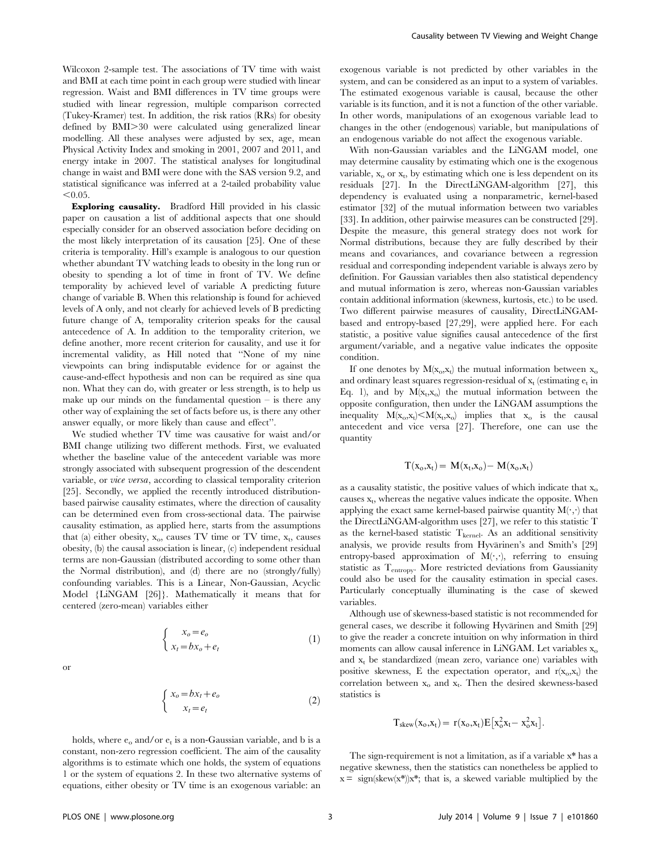Wilcoxon 2-sample test. The associations of TV time with waist and BMI at each time point in each group were studied with linear regression. Waist and BMI differences in TV time groups were studied with linear regression, multiple comparison corrected (Tukey-Kramer) test. In addition, the risk ratios (RRs) for obesity defined by BMI $>30$  were calculated using generalized linear modelling. All these analyses were adjusted by sex, age, mean Physical Activity Index and smoking in 2001, 2007 and 2011, and energy intake in 2007. The statistical analyses for longitudinal change in waist and BMI were done with the SAS version 9.2, and statistical significance was inferred at a 2-tailed probability value  $< 0.05.$ 

Exploring causality. Bradford Hill provided in his classic paper on causation a list of additional aspects that one should especially consider for an observed association before deciding on the most likely interpretation of its causation [25]. One of these criteria is temporality. Hill's example is analogous to our question whether abundant TV watching leads to obesity in the long run or obesity to spending a lot of time in front of TV. We define temporality by achieved level of variable A predicting future change of variable B. When this relationship is found for achieved levels of A only, and not clearly for achieved levels of B predicting future change of A, temporality criterion speaks for the causal antecedence of A. In addition to the temporality criterion, we define another, more recent criterion for causality, and use it for incremental validity, as Hill noted that ''None of my nine viewpoints can bring indisputable evidence for or against the cause-and-effect hypothesis and non can be required as sine qua non. What they can do, with greater or less strength, is to help us make up our minds on the fundamental question  $-$  is there any other way of explaining the set of facts before us, is there any other answer equally, or more likely than cause and effect''.

We studied whether TV time was causative for waist and/or BMI change utilizing two different methods. First, we evaluated whether the baseline value of the antecedent variable was more strongly associated with subsequent progression of the descendent variable, or vice versa, according to classical temporality criterion [25]. Secondly, we applied the recently introduced distributionbased pairwise causality estimates, where the direction of causality can be determined even from cross-sectional data. The pairwise causality estimation, as applied here, starts from the assumptions that (a) either obesity,  $x_0$ , causes TV time or TV time,  $x_t$ , causes obesity, (b) the causal association is linear, (c) independent residual terms are non-Gaussian (distributed according to some other than the Normal distribution), and (d) there are no (strongly/fully) confounding variables. This is a Linear, Non-Gaussian, Acyclic Model {LiNGAM [26]}. Mathematically it means that for centered (zero-mean) variables either

$$
\begin{cases}\nx_o = e_o \\
x_t = bx_o + e_t\n\end{cases}
$$
\n(1)

$$
\begin{cases} x_o = bx_t + e_o \\ x_t = e_t \end{cases} \tag{2}
$$

holds, where  $e_0$  and/or  $e_t$  is a non-Gaussian variable, and b is a constant, non-zero regression coefficient. The aim of the causality algorithms is to estimate which one holds, the system of equations 1 or the system of equations 2. In these two alternative systems of equations, either obesity or TV time is an exogenous variable: an

exogenous variable is not predicted by other variables in the system, and can be considered as an input to a system of variables. The estimated exogenous variable is causal, because the other variable is its function, and it is not a function of the other variable. In other words, manipulations of an exogenous variable lead to changes in the other (endogenous) variable, but manipulations of an endogenous variable do not affect the exogenous variable.

With non-Gaussian variables and the LiNGAM model, one may determine causality by estimating which one is the exogenous variable,  $x_0$  or  $x_t$ , by estimating which one is less dependent on its residuals [27]. In the DirectLiNGAM-algorithm [27], this dependency is evaluated using a nonparametric, kernel-based estimator [32] of the mutual information between two variables [33]. In addition, other pairwise measures can be constructed [29]. Despite the measure, this general strategy does not work for Normal distributions, because they are fully described by their means and covariances, and covariance between a regression residual and corresponding independent variable is always zero by definition. For Gaussian variables then also statistical dependency and mutual information is zero, whereas non-Gaussian variables contain additional information (skewness, kurtosis, etc.) to be used. Two different pairwise measures of causality, DirectLiNGAMbased and entropy-based [27,29], were applied here. For each statistic, a positive value signifies causal antecedence of the first argument/variable, and a negative value indicates the opposite condition.

If one denotes by  $M(x_0, x_1)$  the mutual information between  $x_0$ and ordinary least squares regression-residual of  $x_t$  (estimating  $e_t$  in Eq. 1), and by  $M(x_t,x_0)$  the mutual information between the opposite configuration, then under the LiNGAM assumptions the inequality  $M(x_0, x_t) \le M(x_t, x_0)$  implies that  $x_0$  is the causal antecedent and vice versa [27]. Therefore, one can use the quantity

$$
T(x_o,x_t)=\,M(x_t,x_o)-\,M(x_o,x_t)
$$

as a causality statistic, the positive values of which indicate that  $x_0$ causes  $x_t$ , whereas the negative values indicate the opposite. When applying the exact same kernel-based pairwise quantity  $M(\cdot, \cdot)$  that the DirectLiNGAM-algorithm uses [27], we refer to this statistic T as the kernel-based statistic  $T_{\text{kernel}}$ . As an additional sensitivity analysis, we provide results from Hyvärinen's and Smith's [29] entropy-based approximation of  $M(\cdot,\cdot)$ , referring to ensuing statistic as Tentropy. More restricted deviations from Gaussianity could also be used for the causality estimation in special cases. Particularly conceptually illuminating is the case of skewed variables.

Although use of skewness-based statistic is not recommended for general cases, we describe it following Hyvärinen and Smith [29] to give the reader a concrete intuition on why information in third moments can allow causal inference in LiNGAM. Let variables  $x_0$ and  $x_t$  be standardized (mean zero, variance one) variables with positive skewness, E the expectation operator, and  $r(x_0, x_t)$  the correlation between  $x_0$  and  $x_t$ . Then the desired skewness-based statistics is

$$
T_{skew}(x_o,x_t) = r(x_o,x_t) E[x_o^2 x_t - x_o^2 x_t].
$$

The sign-requirement is not a limitation, as if a variable x\* has a negative skewness, then the statistics can nonetheless be applied to  $x = \text{sign}(skew(x^*))x^*$ ; that is, a skewed variable multiplied by the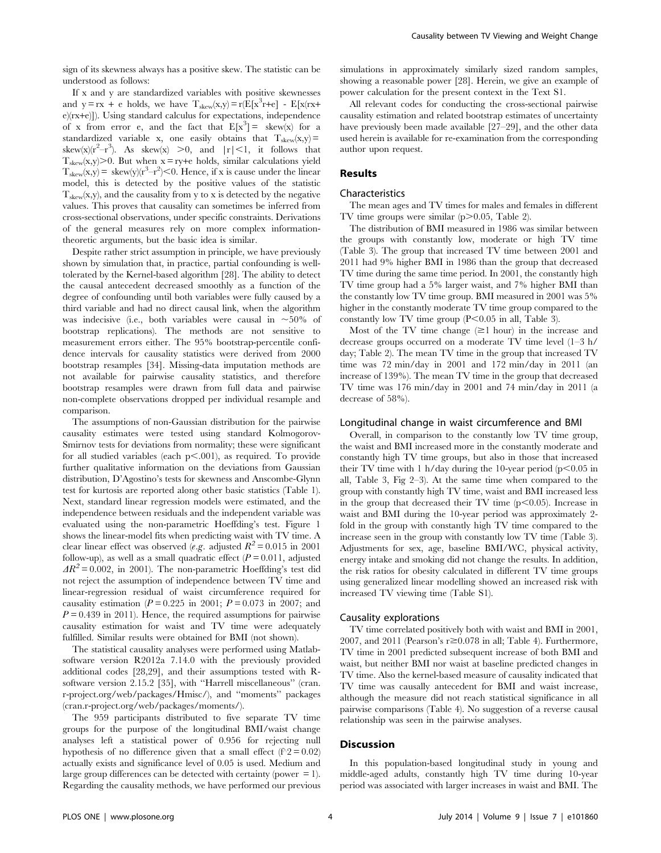sign of its skewness always has a positive skew. The statistic can be understood as follows:

If x and y are standardized variables with positive skewnesses and  $y = rx + e$  holds, we have  $T_{skew}(x, y) = r(E[x^3r + e] - E[x(rx + e)]$ e)(rx+e)]). Using standard calculus for expectations, independence of x from error e, and the fact that  $E[x^3] = \text{skew}(x)$  for a standardized variable x, one easily obtains that  $T_{skew}(x,y)$  = skew(x)( $r^2-r^3$ ). As skew(x) >0, and  $|r|<1$ , it follows that  $T_{\text{skew}}(x,y)$  > 0. But when  $x = ry + e$  holds, similar calculations yield  $T_{\text{skew}}(x,y) = \text{skew}(y)(r^3 - r^2) < 0.$  Hence, if x is cause under the linear model, this is detected by the positive values of the statistic  $T_{\text{skew}}(x,y)$ , and the causality from y to x is detected by the negative values. This proves that causality can sometimes be inferred from cross-sectional observations, under specific constraints. Derivations of the general measures rely on more complex informationtheoretic arguments, but the basic idea is similar.

Despite rather strict assumption in principle, we have previously shown by simulation that, in practice, partial confounding is welltolerated by the Kernel-based algorithm [28]. The ability to detect the causal antecedent decreased smoothly as a function of the degree of confounding until both variables were fully caused by a third variable and had no direct causal link, when the algorithm was indecisive (i.e., both variables were causal in  $\sim 50\%$  of bootstrap replications). The methods are not sensitive to measurement errors either. The 95% bootstrap-percentile confidence intervals for causality statistics were derived from 2000 bootstrap resamples [34]. Missing-data imputation methods are not available for pairwise causality statistics, and therefore bootstrap resamples were drawn from full data and pairwise non-complete observations dropped per individual resample and comparison.

The assumptions of non-Gaussian distribution for the pairwise causality estimates were tested using standard Kolmogorov-Smirnov tests for deviations from normality; these were significant for all studied variables (each  $p<.001$ ), as required. To provide further qualitative information on the deviations from Gaussian distribution, D'Agostino's tests for skewness and Anscombe-Glynn test for kurtosis are reported along other basic statistics (Table 1). Next, standard linear regression models were estimated, and the independence between residuals and the independent variable was evaluated using the non-parametric Hoeffding's test. Figure 1 shows the linear-model fits when predicting waist with TV time. A clear linear effect was observed (e.g. adjusted  $R^2 = 0.015$  in 2001 follow-up), as well as a small quadratic effect  $(P = 0.011$ , adjusted  $AR^2$  = 0.002, in 2001). The non-parametric Hoeffding's test did not reject the assumption of independence between TV time and linear-regression residual of waist circumference required for causality estimation ( $P = 0.225$  in 2001;  $P = 0.073$  in 2007; and  $P = 0.439$  in 2011). Hence, the required assumptions for pairwise causality estimation for waist and TV time were adequately fulfilled. Similar results were obtained for BMI (not shown).

The statistical causality analyses were performed using Matlabsoftware version R2012a 7.14.0 with the previously provided additional codes [28,29], and their assumptions tested with Rsoftware version 2.15.2 [35], with ''Harrell miscellaneous'' (cran. r-project.org/web/packages/Hmisc/), and ''moments'' packages (cran.r-project.org/web/packages/moments/).

The 959 participants distributed to five separate TV time groups for the purpose of the longitudinal BMI/waist change analyses left a statistical power of 0.956 for rejecting null hypothesis of no difference given that a small effect ( $f \approx 2 = 0.02$ ) actually exists and significance level of 0.05 is used. Medium and large group differences can be detected with certainty (power  $= 1$ ). Regarding the causality methods, we have performed our previous

simulations in approximately similarly sized random samples, showing a reasonable power [28]. Herein, we give an example of power calculation for the present context in the Text S1.

All relevant codes for conducting the cross-sectional pairwise causality estimation and related bootstrap estimates of uncertainty have previously been made available [27–29], and the other data used herein is available for re-examination from the corresponding author upon request.

# Results

# Characteristics

The mean ages and TV times for males and females in different TV time groups were similar  $(p>0.05,$  Table 2).

The distribution of BMI measured in 1986 was similar between the groups with constantly low, moderate or high TV time (Table 3). The group that increased TV time between 2001 and 2011 had 9% higher BMI in 1986 than the group that decreased TV time during the same time period. In 2001, the constantly high TV time group had a 5% larger waist, and 7% higher BMI than the constantly low TV time group. BMI measured in 2001 was 5% higher in the constantly moderate TV time group compared to the constantly low TV time group  $(P<0.05$  in all, Table 3).

Most of the TV time change  $(\geq 1$  hour) in the increase and decrease groups occurred on a moderate TV time level (1–3 h/ day; Table 2). The mean TV time in the group that increased TV time was 72 min/day in 2001 and 172 min/day in 2011 (an increase of 139%). The mean TV time in the group that decreased TV time was 176 min/day in 2001 and 74 min/day in 2011 (a decrease of 58%).

#### Longitudinal change in waist circumference and BMI

Overall, in comparison to the constantly low TV time group, the waist and BMI increased more in the constantly moderate and constantly high TV time groups, but also in those that increased their TV time with 1 h/day during the 10-year period  $(p<0.05$  in all, Table 3, Fig 2–3). At the same time when compared to the group with constantly high TV time, waist and BMI increased less in the group that decreased their TV time  $(p<0.05)$ . Increase in waist and BMI during the 10-year period was approximately 2 fold in the group with constantly high TV time compared to the increase seen in the group with constantly low TV time (Table 3). Adjustments for sex, age, baseline BMI/WC, physical activity, energy intake and smoking did not change the results. In addition, the risk ratios for obesity calculated in different TV time groups using generalized linear modelling showed an increased risk with increased TV viewing time (Table S1).

# Causality explorations

TV time correlated positively both with waist and BMI in 2001, 2007, and 2011 (Pearson's  $r \ge 0.078$  in all; Table 4). Furthermore, TV time in 2001 predicted subsequent increase of both BMI and waist, but neither BMI nor waist at baseline predicted changes in TV time. Also the kernel-based measure of causality indicated that TV time was causally antecedent for BMI and waist increase, although the measure did not reach statistical significance in all pairwise comparisons (Table 4). No suggestion of a reverse causal relationship was seen in the pairwise analyses.

### **Discussion**

In this population-based longitudinal study in young and middle-aged adults, constantly high TV time during 10-year period was associated with larger increases in waist and BMI. The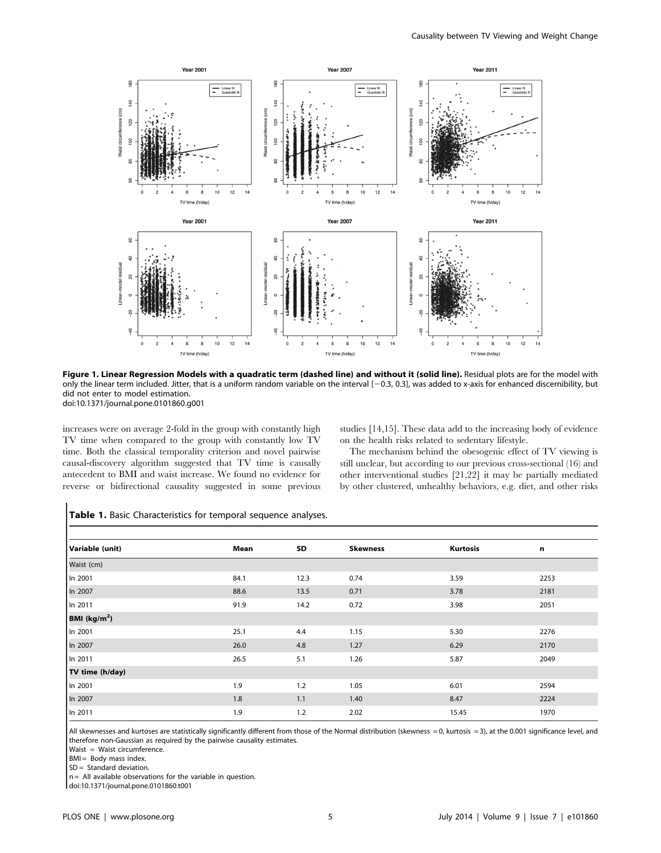

Figure 1. Linear Regression Models with a quadratic term (dashed line) and without it (solid line). Residual plots are for the model with only the linear term included. Jitter, that is a uniform random variable on the interval [20.3, 0.3], was added to x-axis for enhanced discernibility, but did not enter to model estimation. doi:10.1371/journal.pone.0101860.g001

increases were on average 2-fold in the group with constantly high TV time when compared to the group with constantly low TV time. Both the classical temporality criterion and novel pairwise causal-discovery algorithm suggested that TV time is causally antecedent to BMI and waist increase. We found no evidence for reverse or bidirectional causality suggested in some previous studies [14,15]. These data add to the increasing body of evidence on the health risks related to sedentary lifestyle.

The mechanism behind the obesogenic effect of TV viewing is still unclear, but according to our previous cross-sectional (16) and other interventional studies [21,22] it may be partially mediated by other clustered, unhealthy behaviors, e.g. diet, and other risks

|  |  | <b>Table 1.</b> Basic Characteristics for temporal sequence analyses. |  |  |  |  |  |
|--|--|-----------------------------------------------------------------------|--|--|--|--|--|
|--|--|-----------------------------------------------------------------------|--|--|--|--|--|

| Variable (unit) | Mean | SD   | <b>Skewness</b> | Kurtosis | n    |
|-----------------|------|------|-----------------|----------|------|
| Waist (cm)      |      |      |                 |          |      |
| In 2001         | 84.1 | 12.3 | 0.74            | 3.59     | 2253 |
| In 2007         | 88.6 | 13.5 | 0.71            | 3.78     | 2181 |
| In 2011         | 91.9 | 14.2 | 0.72            | 3.98     | 2051 |
| BMI $(kg/m2)$   |      |      |                 |          |      |
| In 2001         | 25.1 | 4.4  | 1.15            | 5.30     | 2276 |
| In 2007         | 26.0 | 4.8  | 1.27            | 6.29     | 2170 |
| In 2011         | 26.5 | 5.1  | 1.26            | 5.87     | 2049 |
| TV time (h/day) |      |      |                 |          |      |
| In 2001         | 1.9  | 1.2  | 1.05            | 6.01     | 2594 |
| In 2007         | 1.8  | 1.1  | 1.40            | 8.47     | 2224 |
| In 2011         | 1.9  | 1.2  | 2.02            | 15.45    | 1970 |

All skewnesses and kurtoses are statistically significantly different from those of the Normal distribution (skewness = 0, kurtosis = 3), at the 0.001 significance level, and therefore non-Gaussian as required by the pairwise causality estimates.

Waist = Waist circumference.

BMI = Body mass index.

SD = Standard deviation.

 $n =$  All available observations for the variable in question.

doi:10.1371/journal.pone.0101860.t001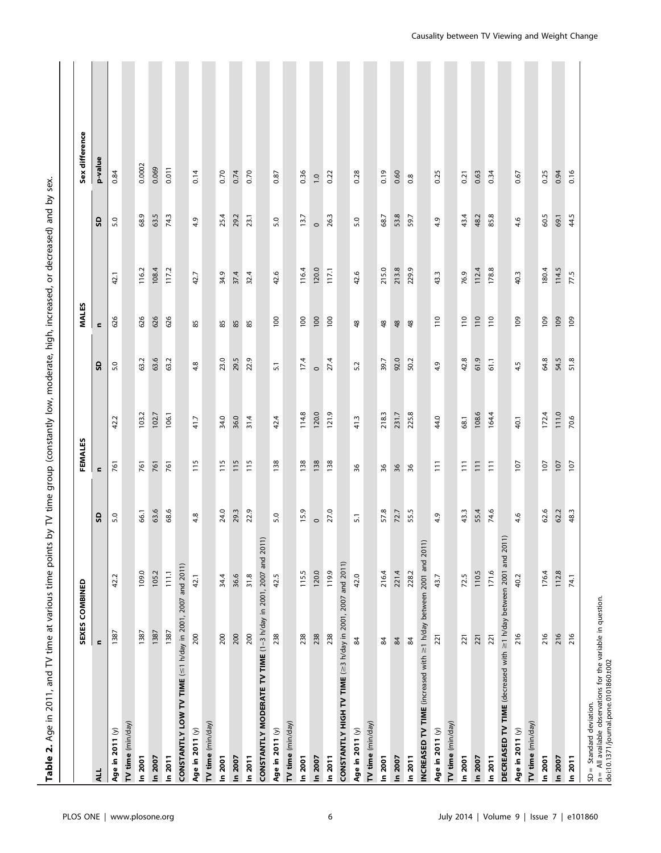|                                                                                                                                   | SEXES COMBINED  |       |                  | FEMALES         |       |                | <b>MALES</b>     |       |         | Sex difference   |
|-----------------------------------------------------------------------------------------------------------------------------------|-----------------|-------|------------------|-----------------|-------|----------------|------------------|-------|---------|------------------|
| ALL                                                                                                                               | $\blacksquare$  |       | G                | $\blacksquare$  |       | 9              | $\blacksquare$   |       | g       | p-value          |
| Age in 2011 (y)                                                                                                                   | 1387            | 42.2  | 5.0              | 761             | 42.2  | 5.0            | 626              | 42.1  | 5.0     | 0.84             |
| TV time (min/day)                                                                                                                 |                 |       |                  |                 |       |                |                  |       |         |                  |
| In 2001                                                                                                                           | 1387            | 109.0 | 66.1             | 761             | 103.2 | 63.2           | 626              | 116.2 | 68.9    | 0.0002           |
| In 2007                                                                                                                           | 1387            | 105.2 | 63.6             | 761             | 102.7 | 63.6           | 626              | 108.4 | 63.5    | 0.069            |
| In 2011                                                                                                                           | 1387            | 111.1 | 68.6             | 761             | 106.1 | 63.2           | 626              | 117.2 | 74.3    | 0.011            |
| CONSTANTLY LOW TV TIME (≤1 h/day in 2001, 2007 and 2011)                                                                          |                 |       |                  |                 |       |                |                  |       |         |                  |
| Age in 2011 (y)                                                                                                                   | 200             | 42.1  | 4.8              | 115             | 41.7  | 4.8            | 85               | 42.7  | 4.9     | 0.14             |
| TV time (min/day)                                                                                                                 |                 |       |                  |                 |       |                |                  |       |         |                  |
| In 2001                                                                                                                           | 200             | 34.4  | 24.0             | <b>115</b>      | 34.0  | 23.0           | 85               | 34.9  | 25.4    | 0.70             |
| In 2007                                                                                                                           | 200             | 36.6  | 29.3             | 115             | 36.0  | 29.5           | 85               | 37.4  | 29.2    | 0.74             |
| In 2011                                                                                                                           | 200             | 31.8  | 22.9             | <b>115</b>      | 31.4  | 22.9           | 85               | 32.4  | 23.1    | 0.70             |
| CONSTANTLY MODERATE TV TIME (1-3 h/day in 2001, 2007 and 2011)                                                                    |                 |       |                  |                 |       |                |                  |       |         |                  |
| Age in 2011 (y)                                                                                                                   | 238             | 42.5  | 5.0              | 138             | 42.4  | $\overline{5}$ | $\overline{100}$ | 42.6  | 5.0     | 0.87             |
| TV time (min/day)                                                                                                                 |                 |       |                  |                 |       |                |                  |       |         |                  |
| In 2001                                                                                                                           | 238             | 115.5 | 15.9             | 138             | 114.8 | 17.4           | $\overline{100}$ | 116.4 | 13.7    | 0.36             |
| In 2007                                                                                                                           | 238             | 120.0 | $\circ$          | 138             | 120.0 | $\circ$        | 100              | 120.0 | $\circ$ | $\overline{1.0}$ |
| In 2011                                                                                                                           | 238             | 119.9 | 27.0             | 138             | 121.9 | 27.4           | 100              | 117.1 | 26.3    | 0.22             |
| CONSTANTLY HIGH TV TIME (≥3 h/day in 2001, 2007 and 2011)                                                                         |                 |       |                  |                 |       |                |                  |       |         |                  |
| Age in 2011 (y)                                                                                                                   | $\mathfrak{A}$  | 42.0  | $\overline{5}$ . | 36              | 41.3  | 5.2            | $48$             | 42.6  | 5.0     | 0.28             |
| TV time (min/day)                                                                                                                 |                 |       |                  |                 |       |                |                  |       |         |                  |
| In 2001                                                                                                                           | $\mathbbmss{3}$ | 216.4 | 57.8             | 36              | 218.3 | 39.7           | $48$             | 215.0 | 68.7    | 0.19             |
| In 2007                                                                                                                           | $\mathfrak{A}$  | 221.4 | 72.7             | 36              | 231.7 | 92.0           | $48$             | 213.8 | 53.8    | 0.60             |
| In 2011                                                                                                                           | $\mathfrak{A}$  | 228.2 | 55.5             | 36              | 225.8 | 50.2           | $48$             | 229.9 | 59.7    | 0.8              |
| INCREASED TV TIME (increased with $\geq$ 1 h/day between 2001 and 2011)                                                           |                 |       |                  |                 |       |                |                  |       |         |                  |
| Age in 2011 (y)                                                                                                                   | 221             | 43.7  | 4.9              | $\overline{11}$ | 44.0  | 4.9            | $\frac{1}{10}$   | 43.3  | 4.9     | 0.25             |
| TV time (min/day)                                                                                                                 |                 |       |                  |                 |       |                |                  |       |         |                  |
| In 2001                                                                                                                           | 221             | 72.5  | 43.3             | $\overline{11}$ | 68.1  | 42.8           | 110              | 76.9  | 43.4    | 0.21             |
| In 2007                                                                                                                           | 221             | 110.5 | 55.4             | $\overline{11}$ | 108.6 | 61.9           | 110              | 112.4 | 48.2    | 0.63             |
| In 2011                                                                                                                           | 221             | 171.6 | 74.6             | $\overline{11}$ | 164.4 | 61.1           | 110              | 178.8 | 85.8    | 0.34             |
| DECREASED TV TIME (decreased with ≥1 h/day between 2001 and 2011)                                                                 |                 |       |                  |                 |       |                |                  |       |         |                  |
| Age in 2011 (y)                                                                                                                   | 216             | 40.2  | 4.6              | 107             | 40.1  | 4.5            | 109              | 40.3  | 4.6     | 0.67             |
| TV time (min/day)                                                                                                                 |                 |       |                  |                 |       |                |                  |       |         |                  |
| In 2001                                                                                                                           | 216             | 176.4 | 62.6             | 107             | 172.4 | 64.8           | 109              | 180.4 | 60.5    | 0.25             |
| In 2007                                                                                                                           | 216             | 112.8 | 62.2             | 107             | 111.0 | 54.5           | 109              | 114.5 | 69.1    | 0.94             |
| In 2011                                                                                                                           | 216             | 74.1  | 48.3             | 107             | 70.6  | 51.8           | 109              | 77.5  | 44.5    | 0.16             |
| SD = Standard deviation.<br>n = All available observations for the variable in question.<br>doi:10.1371/journal.pone.0101860.t002 |                 |       |                  |                 |       |                |                  |       |         |                  |
|                                                                                                                                   |                 |       |                  |                 |       |                |                  |       |         |                  |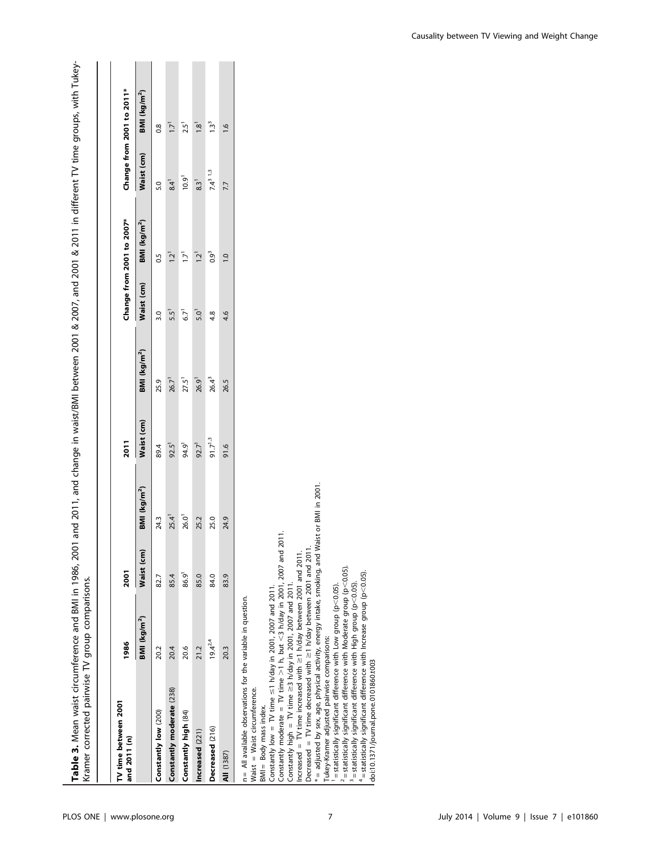| Kramer corrected pairwise TV group comparisons.                                                                                                                                                                                                                         |                          |             |                          |            |                          |                  |                           |                          |                           |
|-------------------------------------------------------------------------------------------------------------------------------------------------------------------------------------------------------------------------------------------------------------------------|--------------------------|-------------|--------------------------|------------|--------------------------|------------------|---------------------------|--------------------------|---------------------------|
| TV time between 2001<br>and 2011 (n)                                                                                                                                                                                                                                    | 1986                     | <b>2001</b> |                          | 2011       |                          |                  | Change from 2001 to 2007* |                          | Change from 2001 to 2011* |
|                                                                                                                                                                                                                                                                         | BMI (kg/m <sup>2</sup> ) | Waist (cm)  | BMI (kg/m <sup>2</sup> ) | Waist (cm) | BMI (kg/m <sup>2</sup> ) | Waist (cm)       | BMI (kg/m <sup>2</sup> )  | Waist (cm)               | BMI (kg/m <sup>2</sup> )  |
| Constantly low (200)                                                                                                                                                                                                                                                    | 20.2                     | 82.7        | 24.3                     | 89.4       | 25.9                     | 3.0              | $\overline{0}$            | 5.0                      | $0.\overline{8}$          |
| Constantly moderate (238)                                                                                                                                                                                                                                               | 20.4                     | 85.4        | $25.4$ <sup>1</sup>      | $92.5^1$   | 26.7 <sup>1</sup>        | 5.5 <sup>1</sup> | יֿבו                      | 8.4 <sup>1</sup>         | $\overline{1}$            |
| Constantly high (84)                                                                                                                                                                                                                                                    | 20.6                     | 86.9        | 26.0                     | 94.9       | 27.5 <sup>1</sup>        | 6.7              | -1.7                      | 10.9 <sup>1</sup>        | 2.5 <sup>1</sup>          |
| Increased (221)                                                                                                                                                                                                                                                         | 21.2                     | 85.0        | 25.2                     | $92.7^{1}$ | 26.9 <sup>1</sup>        | 5.0 <sup>1</sup> | 12 <sup>1</sup>           | 8.3 <sup>1</sup>         | 1.8 <sup>1</sup>          |
| Decreased (216)                                                                                                                                                                                                                                                         | $19.4^{2.4}$             | 84.0        | 25.0                     | 91.713     | $26.4^{3}$               | 4.8              | $0.9^3$                   | $7.4^{3}$ <sup>1,3</sup> | 13 <sup>3</sup>           |
| AII (1387)                                                                                                                                                                                                                                                              | 20.3                     | 83.9        | 24.9                     | 91.6       | 26.5                     | 4.6              | $\frac{1}{2}$             | 7.7                      | $\frac{6}{1}$             |
| Constantly moderate = TV time $>1$ h, but <3 h/day in 2001, 2007 and 2011<br>Constantly low = TV time $\leq$ 1 h/day in 2001, 2007 and 2011.<br>$n =$ All available observations for the variable in question.<br>Waist = Waist circumference.<br>BMI= Body mass index. |                          |             |                          |            |                          |                  |                           |                          |                           |

Table 3. Mean waist circumference and BMI in 1986, 2001 and 2011, and change in waist/BMI between 2001 & 2007, and 2001 & 2011 in different TV time groups, with Tukey-Table 3. Mean waist circumference and BMI in 1986, 2001 and 2011, and change in waist/BMI between 2001 & 2007, and 2001 & 2011 in different TV time groups, with Tukey-

Constantly high = TV time  $\geq$ 3 h/day in 2001, 2007 and 2011.

Increased  $= TV$  time increased with  $\geq$ 1 h/day between 2001 and 2011.

Constantly high = TV time  $\geq 3$  h/day in 2001, 2007 and 2011.<br>Increased = TV time increased with  $\geq 1$  h/day between 2001 and 2011.<br>Decreased = TV time decreased with  $\geq 1$  h/day between 2001 and 2011.<br> $* =$  adjusted Decreased  $= TV$  time decreased with  $\geq$ 1 h/day between 2001 and 2011.

\* = adjusted by sex, age, physical activity, energy intake, smoking, and Waist or BMI in 2001.

 $< 0.05$ ). = statistically significant difference with Low group (p Tukey-Kramer adjusted pairwise comparisons: Tukey-Kramer adjusted pairwise comparisons:

 $\sim$  = statistically significant difference with Moderate group (p  $< 0.05$ ).

 $^{\circ}$  = statistically significant difference with High group (p  $< 0.05$ ).

4 $4$  = statistically significant difference with Increase group (p  $< 0.05$ ). doi:10.1371/journal.pone.0101860.t003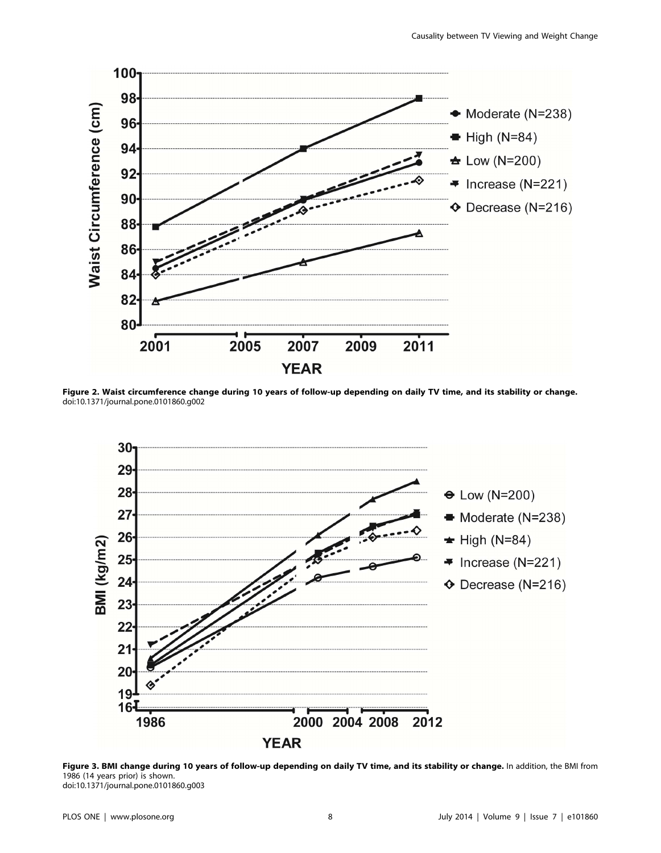

Figure 2. Waist circumference change during 10 years of follow-up depending on daily TV time, and its stability or change. doi:10.1371/journal.pone.0101860.g002



Figure 3. BMI change during 10 years of follow-up depending on daily TV time, and its stability or change. In addition, the BMI from 1986 (14 years prior) is shown. doi:10.1371/journal.pone.0101860.g003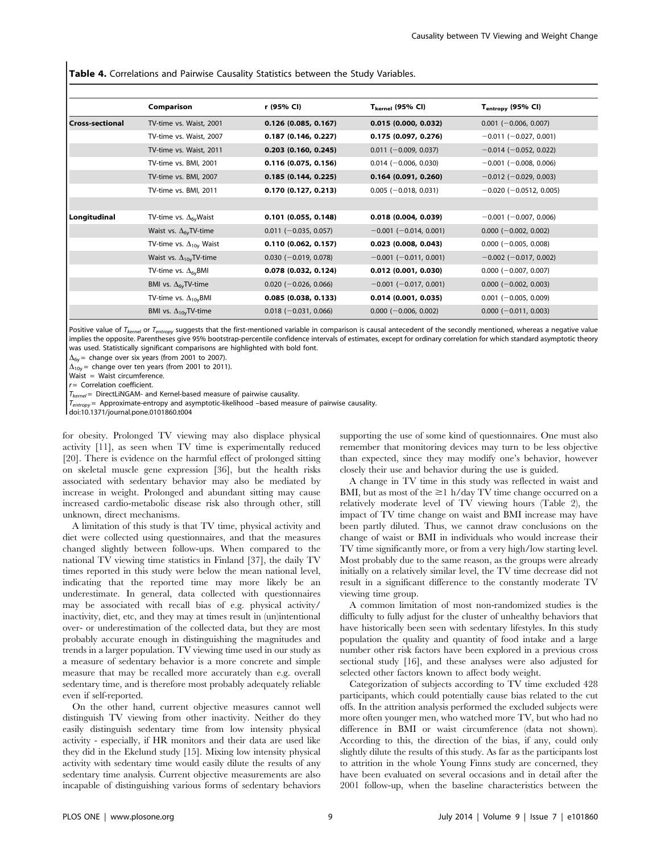Table 4. Correlations and Pairwise Causality Statistics between the Study Variables.

|                   | Comparison                       | r (95% Cl)              | $T_{\rm kernel}$ (95% CI)    | T <sub>entropy</sub> (95% CI) |
|-------------------|----------------------------------|-------------------------|------------------------------|-------------------------------|
| l Cross-sectional | TV-time vs. Waist, 2001          | $0.126$ (0.085, 0.167)  | 0.015(0.000, 0.032)          | $0.001$ (-0.006, 0.007)       |
|                   | TV-time vs. Waist, 2007          | 0.187(0.146, 0.227)     | 0.175(0.097, 0.276)          | $-0.011$ ( $-0.027$ , 0.001)  |
|                   | TV-time vs. Waist, 2011          | 0.203(0.160, 0.245)     | $0.011 (-0.009, 0.037)$      | $-0.014$ (-0.052, 0.022)      |
|                   | TV-time vs. BMI, 2001            | 0.116(0.075, 0.156)     | $0.014 (-0.006, 0.030)$      | $-0.001$ ( $-0.008$ , 0.006)  |
|                   | TV-time vs. BMI, 2007            | 0.185(0.144, 0.225)     | 0.164(0.091, 0.260)          | $-0.012$ (-0.029, 0.003)      |
|                   | TV-time vs. BMI, 2011            | 0.170(0.127, 0.213)     | $0.005$ (-0.018, 0.031)      | $-0.020$ ( $-0.0512$ , 0.005) |
|                   |                                  |                         |                              |                               |
| Longitudinal      | TV-time vs. $\Delta_{6v}$ Waist  | $0.101$ (0.055, 0.148)  | 0.018(0.004, 0.039)          | $-0.001$ ( $-0.007$ , 0.006)  |
|                   | Waist vs. $\Delta_{6v}$ TV-time  | $0.011 (-0.035, 0.057)$ | $-0.001$ ( $-0.014$ , 0.001) | $0.000 (-0.002, 0.002)$       |
|                   | TV-time vs. $\Delta_{10v}$ Waist | 0.110(0.062, 0.157)     | $0.023$ (0.008, 0.043)       | $0.000 (-0.005, 0.008)$       |
|                   | Waist vs. $\Delta_{10v}$ TV-time | $0.030 (-0.019, 0.078)$ | $-0.001$ ( $-0.011$ , 0.001) | $-0.002$ (-0.017, 0.002)      |
|                   | TV-time vs. $\Delta_{6v}$ BMI    | $0.078$ (0.032, 0.124)  | $0.012$ (0.001, 0.030)       | $0.000 (-0.007, 0.007)$       |
|                   | BMI vs. $\Delta_{6v}$ TV-time    | $0.020 (-0.026, 0.066)$ | $-0.001$ ( $-0.017$ , 0.001) | $0.000 (-0.002, 0.003)$       |
|                   | TV-time vs. $\Delta_{10x}$ BMI   | 0.085(0.038, 0.133)     | $0.014$ (0.001, 0.035)       | $0.001$ (-0.005, 0.009)       |
|                   | BMI vs. $\Delta_{10v}$ TV-time   | $0.018 (-0.031, 0.066)$ | $0.000 (-0.006, 0.002)$      | $0.000 (-0.011, 0.003)$       |

Positive value of  $T_{\text{kemel}}$  or  $T_{\text{entropy}}$  suggests that the first-mentioned variable in comparison is causal antecedent of the secondly mentioned, whereas a negative value implies the opposite. Parentheses give 95% bootstrap-percentile confidence intervals of estimates, except for ordinary correlation for which standard asymptotic theory was used. Statistically significant comparisons are highlighted with bold font.

 $\Delta_{6v}$  = change over six years (from 2001 to 2007).

 $\Delta_{10y}$  = change over ten years (from 2001 to 2011).

Waist = Waist circumference.

 $r =$  Correlation coefficient.

 $T_{\text{kernel}}$  = DirectLiNGAM- and Kernel-based measure of pairwise causality.

 $T_{entropy}$  = Approximate-entropy and asymptotic-likelihood –based measure of pairwise causality.

doi:10.1371/journal.pone.0101860.t004

for obesity. Prolonged TV viewing may also displace physical activity [11], as seen when TV time is experimentally reduced [20]. There is evidence on the harmful effect of prolonged sitting on skeletal muscle gene expression [36], but the health risks associated with sedentary behavior may also be mediated by increase in weight. Prolonged and abundant sitting may cause increased cardio-metabolic disease risk also through other, still unknown, direct mechanisms.

A limitation of this study is that TV time, physical activity and diet were collected using questionnaires, and that the measures changed slightly between follow-ups. When compared to the national TV viewing time statistics in Finland [37], the daily TV times reported in this study were below the mean national level, indicating that the reported time may more likely be an underestimate. In general, data collected with questionnaires may be associated with recall bias of e.g. physical activity/ inactivity, diet, etc, and they may at times result in (un)intentional over- or underestimation of the collected data, but they are most probably accurate enough in distinguishing the magnitudes and trends in a larger population. TV viewing time used in our study as a measure of sedentary behavior is a more concrete and simple measure that may be recalled more accurately than e.g. overall sedentary time, and is therefore most probably adequately reliable even if self-reported.

On the other hand, current objective measures cannot well distinguish TV viewing from other inactivity. Neither do they easily distinguish sedentary time from low intensity physical activity - especially, if HR monitors and their data are used like they did in the Ekelund study [15]. Mixing low intensity physical activity with sedentary time would easily dilute the results of any sedentary time analysis. Current objective measurements are also incapable of distinguishing various forms of sedentary behaviors supporting the use of some kind of questionnaires. One must also remember that monitoring devices may turn to be less objective than expected, since they may modify one's behavior, however closely their use and behavior during the use is guided.

A change in TV time in this study was reflected in waist and BMI, but as most of the  $\geq$ 1 h/day TV time change occurred on a relatively moderate level of TV viewing hours (Table 2), the impact of TV time change on waist and BMI increase may have been partly diluted. Thus, we cannot draw conclusions on the change of waist or BMI in individuals who would increase their TV time significantly more, or from a very high/low starting level. Most probably due to the same reason, as the groups were already initially on a relatively similar level, the TV time decrease did not result in a significant difference to the constantly moderate TV viewing time group.

A common limitation of most non-randomized studies is the difficulty to fully adjust for the cluster of unhealthy behaviors that have historically been seen with sedentary lifestyles. In this study population the quality and quantity of food intake and a large number other risk factors have been explored in a previous cross sectional study [16], and these analyses were also adjusted for selected other factors known to affect body weight.

Categorization of subjects according to TV time excluded 428 participants, which could potentially cause bias related to the cut offs. In the attrition analysis performed the excluded subjects were more often younger men, who watched more TV, but who had no difference in BMI or waist circumference (data not shown). According to this, the direction of the bias, if any, could only slightly dilute the results of this study. As far as the participants lost to attrition in the whole Young Finns study are concerned, they have been evaluated on several occasions and in detail after the 2001 follow-up, when the baseline characteristics between the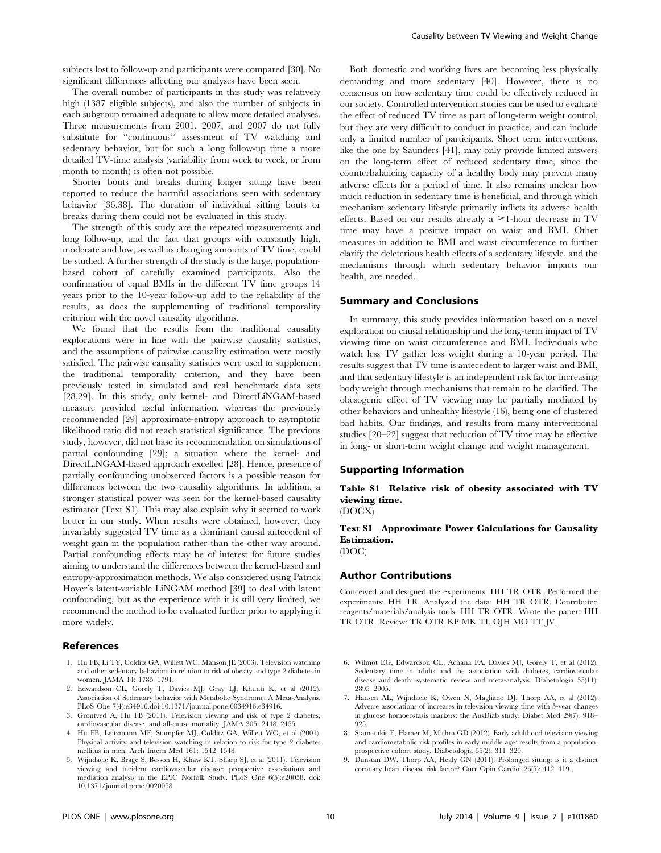subjects lost to follow-up and participants were compared [30]. No significant differences affecting our analyses have been seen.

The overall number of participants in this study was relatively high (1387 eligible subjects), and also the number of subjects in each subgroup remained adequate to allow more detailed analyses. Three measurements from 2001, 2007, and 2007 do not fully substitute for ''continuous'' assessment of TV watching and sedentary behavior, but for such a long follow-up time a more detailed TV-time analysis (variability from week to week, or from month to month) is often not possible.

Shorter bouts and breaks during longer sitting have been reported to reduce the harmful associations seen with sedentary behavior [36,38]. The duration of individual sitting bouts or breaks during them could not be evaluated in this study.

The strength of this study are the repeated measurements and long follow-up, and the fact that groups with constantly high, moderate and low, as well as changing amounts of TV time, could be studied. A further strength of the study is the large, populationbased cohort of carefully examined participants. Also the confirmation of equal BMIs in the different TV time groups 14 years prior to the 10-year follow-up add to the reliability of the results, as does the supplementing of traditional temporality criterion with the novel causality algorithms.

We found that the results from the traditional causality explorations were in line with the pairwise causality statistics, and the assumptions of pairwise causality estimation were mostly satisfied. The pairwise causality statistics were used to supplement the traditional temporality criterion, and they have been previously tested in simulated and real benchmark data sets [28,29]. In this study, only kernel- and DirectLiNGAM-based measure provided useful information, whereas the previously recommended [29] approximate-entropy approach to asymptotic likelihood ratio did not reach statistical significance. The previous study, however, did not base its recommendation on simulations of partial confounding [29]; a situation where the kernel- and DirectLiNGAM-based approach excelled [28]. Hence, presence of partially confounding unobserved factors is a possible reason for differences between the two causality algorithms. In addition, a stronger statistical power was seen for the kernel-based causality estimator (Text S1). This may also explain why it seemed to work better in our study. When results were obtained, however, they invariably suggested TV time as a dominant causal antecedent of weight gain in the population rather than the other way around. Partial confounding effects may be of interest for future studies aiming to understand the differences between the kernel-based and entropy-approximation methods. We also considered using Patrick Hoyer's latent-variable LiNGAM method [39] to deal with latent confounding, but as the experience with it is still very limited, we recommend the method to be evaluated further prior to applying it more widely.

# References

- 1. Hu FB, Li TY, Colditz GA, Willett WC, Manson JE (2003). Television watching and other sedentary behaviors in relation to risk of obesity and type 2 diabetes in women. JAMA 14: 1785–1791.
- 2. Edwardson CL, Gorely T, Davies MJ, Gray LJ, Khunti K, et al (2012). Association of Sedentary behavior with Metabolic Syndrome: A Meta-Analysis. PLoS One 7(4):e34916.doi:10.1371/journal.pone.0034916.e34916.
- 3. Grontved A, Hu FB (2011). Television viewing and risk of type 2 diabetes, cardiovascular disease, and all-cause mortality. JAMA 305: 2448–2455.
- 4. Hu FB, Leitzmann MF, Stampfer MJ, Colditz GA, Willett WC, et al (2001). Physical activity and television watching in relation to risk for type 2 diabetes mellitus in men. Arch Intern Med 161: 1542–1548.
- 5. Wijndaele K, Brage S, Besson H, Khaw KT, Sharp SJ, et al (2011). Television viewing and incident cardiovascular disease: prospective associations and mediation analysis in the EPIC Norfolk Study. PLoS One 6(5):e20058. doi: 10.1371/journal.pone.0020058.

Both domestic and working lives are becoming less physically demanding and more sedentary [40]. However, there is no consensus on how sedentary time could be effectively reduced in our society. Controlled intervention studies can be used to evaluate the effect of reduced TV time as part of long-term weight control, but they are very difficult to conduct in practice, and can include only a limited number of participants. Short term interventions, like the one by Saunders [41], may only provide limited answers on the long-term effect of reduced sedentary time, since the counterbalancing capacity of a healthy body may prevent many adverse effects for a period of time. It also remains unclear how much reduction in sedentary time is beneficial, and through which mechanism sedentary lifestyle primarily inflicts its adverse health effects. Based on our results already  $a \ge 1$ -hour decrease in TV time may have a positive impact on waist and BMI. Other measures in addition to BMI and waist circumference to further clarify the deleterious health effects of a sedentary lifestyle, and the mechanisms through which sedentary behavior impacts our health, are needed.

# Summary and Conclusions

In summary, this study provides information based on a novel exploration on causal relationship and the long-term impact of TV viewing time on waist circumference and BMI. Individuals who watch less TV gather less weight during a 10-year period. The results suggest that TV time is antecedent to larger waist and BMI, and that sedentary lifestyle is an independent risk factor increasing body weight through mechanisms that remain to be clarified. The obesogenic effect of TV viewing may be partially mediated by other behaviors and unhealthy lifestyle (16), being one of clustered bad habits. Our findings, and results from many interventional studies [20–22] suggest that reduction of TV time may be effective in long- or short-term weight change and weight management.

# Supporting Information

Table S1 Relative risk of obesity associated with TV viewing time.

(DOCX)

# Text S1 Approximate Power Calculations for Causality Estimation.

(DOC)

# Author Contributions

Conceived and designed the experiments: HH TR OTR. Performed the experiments: HH TR. Analyzed the data: HH TR OTR. Contributed reagents/materials/analysis tools: HH TR OTR. Wrote the paper: HH TR OTR. Review: TR OTR KP MK TL OJH MO TT JV.

- 6. Wilmot EG, Edwardson CL, Achana FA, Davies MJ, Gorely T, et al (2012). Sedentary time in adults and the association with diabetes, cardiovascular disease and death: systematic review and meta-analysis. Diabetologia 55(11): 2895–2905.
- 7. Hansen AL, Wijndaele K, Owen N, Magliano DJ, Thorp AA, et al (2012). Adverse associations of increases in television viewing time with 5-year changes in glucose homoeostasis markers: the AusDiab study. Diabet Med 29(7): 918– 925.
- 8. Stamatakis E, Hamer M, Mishra GD (2012). Early adulthood television viewing and cardiometabolic risk profiles in early middle age: results from a population, prospective cohort study. Diabetologia 55(2): 311–320.
- 9. Dunstan DW, Thorp AA, Healy GN (2011). Prolonged sitting: is it a distinct coronary heart disease risk factor? Curr Opin Cardiol 26(5): 412–419.